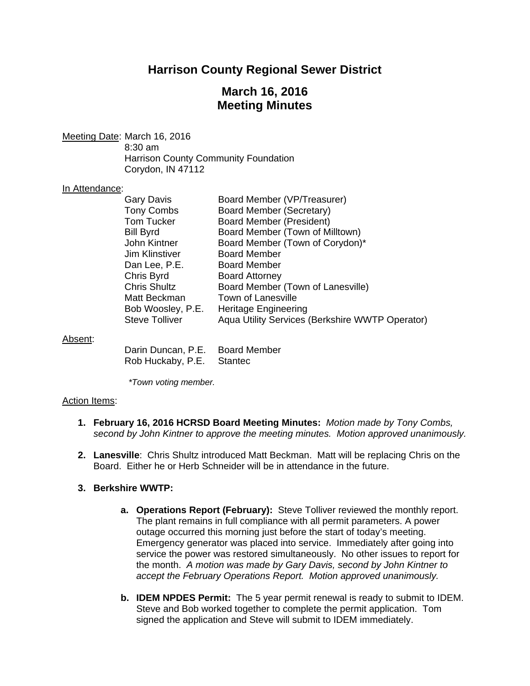## **Harrison County Regional Sewer District**

# **March 16, 2016 Meeting Minutes**

Meeting Date: March 16, 2016

 8:30 am Harrison County Community Foundation Corydon, IN 47112

#### In Attendance:

| <b>Gary Davis</b>     | Board Member (VP/Treasurer)                     |
|-----------------------|-------------------------------------------------|
| <b>Tony Combs</b>     | Board Member (Secretary)                        |
| <b>Tom Tucker</b>     | Board Member (President)                        |
| <b>Bill Byrd</b>      | Board Member (Town of Milltown)                 |
| John Kintner          | Board Member (Town of Corydon)*                 |
| Jim Klinstiver        | <b>Board Member</b>                             |
| Dan Lee, P.E.         | <b>Board Member</b>                             |
| Chris Byrd            | <b>Board Attorney</b>                           |
| <b>Chris Shultz</b>   | Board Member (Town of Lanesville)               |
| Matt Beckman          | <b>Town of Lanesville</b>                       |
| Bob Woosley, P.E.     | Heritage Engineering                            |
| <b>Steve Tolliver</b> | Aqua Utility Services (Berkshire WWTP Operator) |

#### Absent:

| Darin Duncan, P.E. | <b>Board Member</b> |
|--------------------|---------------------|
| Rob Huckaby, P.E.  | Stantec             |

*\*Town voting member.* 

#### Action Items:

- **1. February 16, 2016 HCRSD Board Meeting Minutes:** *Motion made by Tony Combs, second by John Kintner to approve the meeting minutes. Motion approved unanimously.*
- **2. Lanesville**: Chris Shultz introduced Matt Beckman. Matt will be replacing Chris on the Board. Either he or Herb Schneider will be in attendance in the future.

#### **3. Berkshire WWTP:**

- **a. Operations Report (February):** Steve Tolliver reviewed the monthly report. The plant remains in full compliance with all permit parameters. A power outage occurred this morning just before the start of today's meeting. Emergency generator was placed into service. Immediately after going into service the power was restored simultaneously. No other issues to report for the month. *A motion was made by Gary Davis, second by John Kintner to accept the February Operations Report. Motion approved unanimously.*
- **b. IDEM NPDES Permit:** The 5 year permit renewal is ready to submit to IDEM. Steve and Bob worked together to complete the permit application. Tom signed the application and Steve will submit to IDEM immediately.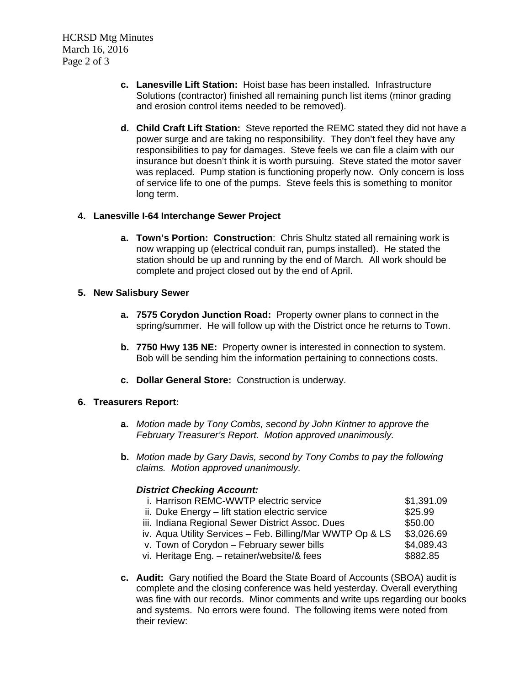HCRSD Mtg Minutes March 16, 2016 Page 2 of 3

- **c. Lanesville Lift Station:** Hoist base has been installed. Infrastructure Solutions (contractor) finished all remaining punch list items (minor grading and erosion control items needed to be removed).
- **d. Child Craft Lift Station:** Steve reported the REMC stated they did not have a power surge and are taking no responsibility. They don't feel they have any responsibilities to pay for damages. Steve feels we can file a claim with our insurance but doesn't think it is worth pursuing. Steve stated the motor saver was replaced. Pump station is functioning properly now. Only concern is loss of service life to one of the pumps. Steve feels this is something to monitor long term.

## **4. Lanesville I-64 Interchange Sewer Project**

**a. Town's Portion: Construction**: Chris Shultz stated all remaining work is now wrapping up (electrical conduit ran, pumps installed). He stated the station should be up and running by the end of March*.* All work should be complete and project closed out by the end of April.

## **5. New Salisbury Sewer**

- **a. 7575 Corydon Junction Road:** Property owner plans to connect in the spring/summer. He will follow up with the District once he returns to Town.
- **b. 7750 Hwy 135 NE:** Property owner is interested in connection to system. Bob will be sending him the information pertaining to connections costs.
- **c. Dollar General Store:** Construction is underway.

## **6. Treasurers Report:**

- **a.** *Motion made by Tony Combs, second by John Kintner to approve the February Treasurer's Report. Motion approved unanimously.*
- **b.** *Motion made by Gary Davis, second by Tony Combs to pay the following claims. Motion approved unanimously.*

## *District Checking Account:*

| i. Harrison REMC-WWTP electric service                    | \$1,391.09 |
|-----------------------------------------------------------|------------|
| ii. Duke Energy - lift station electric service           | \$25.99    |
| iii. Indiana Regional Sewer District Assoc. Dues          | \$50.00    |
| iv. Aqua Utility Services – Feb. Billing/Mar WWTP Op & LS | \$3,026.69 |
| v. Town of Corydon - February sewer bills                 | \$4,089.43 |
| vi. Heritage Eng. - retainer/website/& fees               | \$882.85   |
|                                                           |            |

**c. Audit:** Gary notified the Board the State Board of Accounts (SBOA) audit is complete and the closing conference was held yesterday. Overall everything was fine with our records. Minor comments and write ups regarding our books and systems. No errors were found. The following items were noted from their review: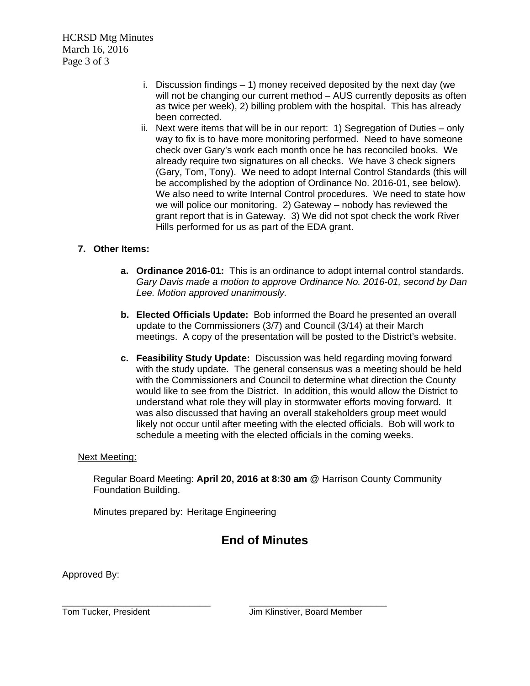HCRSD Mtg Minutes March 16, 2016 Page 3 of 3

- i. Discussion findings 1) money received deposited by the next day (we will not be changing our current method – AUS currently deposits as often as twice per week), 2) billing problem with the hospital. This has already been corrected.
- ii. Next were items that will be in our report: 1) Segregation of Duties only way to fix is to have more monitoring performed. Need to have someone check over Gary's work each month once he has reconciled books. We already require two signatures on all checks. We have 3 check signers (Gary, Tom, Tony). We need to adopt Internal Control Standards (this will be accomplished by the adoption of Ordinance No. 2016-01, see below). We also need to write Internal Control procedures. We need to state how we will police our monitoring. 2) Gateway – nobody has reviewed the grant report that is in Gateway. 3) We did not spot check the work River Hills performed for us as part of the EDA grant.

## **7. Other Items:**

- **a. Ordinance 2016-01:** This is an ordinance to adopt internal control standards. *Gary Davis made a motion to approve Ordinance No. 2016-01, second by Dan Lee. Motion approved unanimously.*
- **b. Elected Officials Update:** Bob informed the Board he presented an overall update to the Commissioners (3/7) and Council (3/14) at their March meetings. A copy of the presentation will be posted to the District's website.
- **c. Feasibility Study Update:** Discussion was held regarding moving forward with the study update. The general consensus was a meeting should be held with the Commissioners and Council to determine what direction the County would like to see from the District. In addition, this would allow the District to understand what role they will play in stormwater efforts moving forward. It was also discussed that having an overall stakeholders group meet would likely not occur until after meeting with the elected officials. Bob will work to schedule a meeting with the elected officials in the coming weeks.

## Next Meeting:

Regular Board Meeting: **April 20, 2016 at 8:30 am** @ Harrison County Community Foundation Building.

Minutes prepared by: Heritage Engineering

# **End of Minutes**

Approved By: